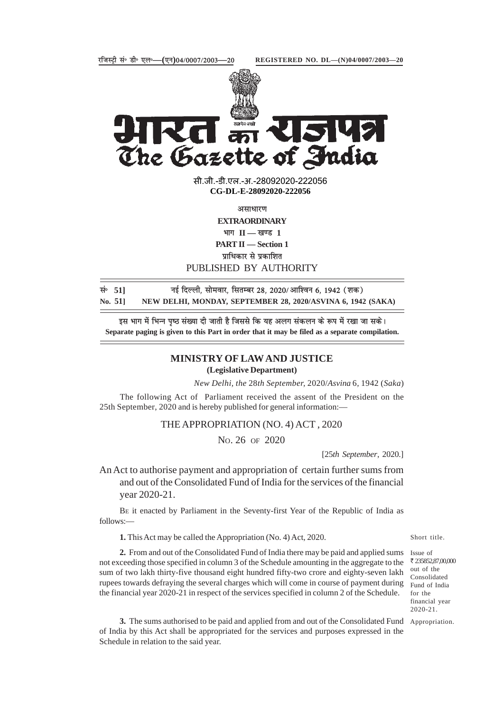



The Gazette of India सी.जी.-डी.एल.-अ.-28092020-22205<mark>6</mark>

**xxxGIDExxx CG-DL-E-28092020-222056**

असाधारण

**EXTRAORDINARY**

 $\mathbf{H} = \mathbf{H} - \mathbf{H}$  ।

**PART II — Section 1**

पाधिकार से प्रकाशित

PUBLISHED BY AUTHORITY

| सं 51   | नई दिल्ली, सोमवार, सितम्बर 28, 2020/आश्विन 6, 1942 (शक)     |
|---------|-------------------------------------------------------------|
| No. 511 | NEW DELHI, MONDAY, SEPTEMBER 28, 2020/ASVINA 6, 1942 (SAKA) |

इस भाग में भिन्न पृष्ठ संख्या दी जाती है जिससे कि यह अलग संकलन के रूप में रखा जा सके। **Separate paging is given to this Part in order that it may be filed as a separate compilation.**

## **MINISTRY OF LAW AND JUSTICE**

## **(Legislative Department)**

*New Delhi, the* 28*th September,* 2020/*Asvina* 6*,* 1942 (*Saka*)

The following Act of Parliament received the assent of the President on the 25th September, 2020 and is hereby published for general information:—

THE APPROPRIATION (NO. 4) ACT , 2020

NO. 26 OF 2020

[25*th September*, 2020.]

An Act to authorise payment and appropriation of certain further sums from and out of the Consolidated Fund of India for the services of the financial year 2020-21.

BE it enacted by Parliament in the Seventy-first Year of the Republic of India as follows:—

**1.** This Act may be called the Appropriation (No. 4) Act, 2020.

2. From and out of the Consolidated Fund of India there may be paid and applied sums Issue of not exceeding those specified in column 3 of the Schedule amounting in the aggregate to the sum of two lakh thirty-five thousand eight hundred fifty-two crore and eighty-seven lakh rupees towards defraying the several charges which will come in course of payment during the financial year 2020-21 in respect of the services specified in column 2 of the Schedule.

₹ 235852,87,00,000 out of the Consolidated Fund of India for the financial year 2020-21.

Short title.

**3.** The sums authorised to be paid and applied from and out of the Consolidated Fund Appropriation. of India by this Act shall be appropriated for the services and purposes expressed in the Schedule in relation to the said year.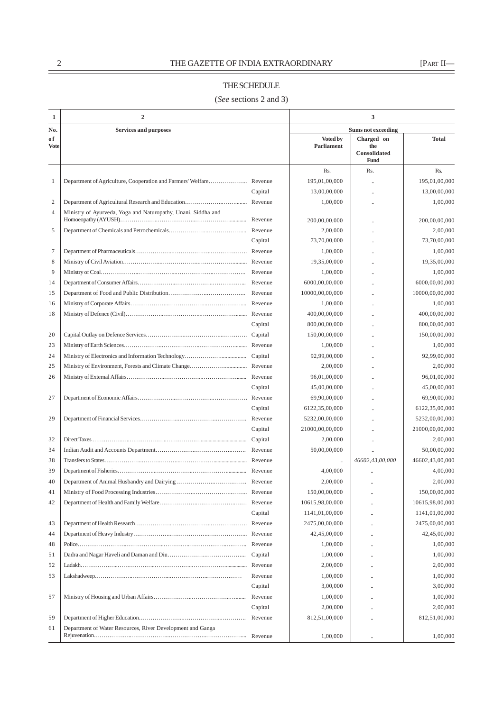## $\underbrace{\hspace{2.5cm}}^2$  THE GAZETTE OF INDIA EXTRAORDINARY [PART II—

## THE SCHEDULE

(*See* sections 2 and 3)

 $\overline{ }$ 

| 1              | $\overline{2}$                                                |                    | 3                             |                                           |                      |  |
|----------------|---------------------------------------------------------------|--------------------|-------------------------------|-------------------------------------------|----------------------|--|
| No.            | <b>Services and purposes</b>                                  |                    | <b>Sums not exceeding</b>     |                                           |                      |  |
| оf<br>Vote     |                                                               |                    | <b>Voted by</b><br>Parliament | Charged on<br>the<br>Consolidated<br>Fund | <b>Total</b>         |  |
|                |                                                               |                    | Rs.                           | Rs.                                       | Rs.                  |  |
| 1              |                                                               |                    | 195,01,00,000                 |                                           | 195,01,00,000        |  |
|                |                                                               | Capital            | 13,00,00,000                  |                                           | 13,00,00,000         |  |
| $\overline{2}$ |                                                               |                    | 1,00,000                      |                                           | 1,00,000             |  |
| $\overline{4}$ | Ministry of Ayurveda, Yoga and Naturopathy, Unani, Siddha and |                    | 200,00,00,000                 |                                           | 200,00,00,000        |  |
| 5              |                                                               |                    | 2,00,000                      |                                           | 2,00,000             |  |
|                |                                                               | Capital            | 73,70,00,000                  |                                           | 73,70,00,000         |  |
| $\tau$         |                                                               |                    | 1,00,000                      |                                           | 1,00,000             |  |
| 8              |                                                               |                    | 19,35,00,000                  |                                           | 19,35,00,000         |  |
| 9              |                                                               |                    | 1,00,000                      |                                           | 1,00,000             |  |
| 14             |                                                               |                    | 6000,00,00,000                |                                           | 6000,00,00,000       |  |
| 15             |                                                               |                    | 10000,00,00,000               |                                           | 10000,00,00,000      |  |
| 16             |                                                               |                    | 1,00,000                      |                                           | 1,00,000             |  |
| 18             |                                                               |                    | 400,00,00,000                 |                                           | 400,00,00,000        |  |
|                |                                                               | Capital            | 800,00,00,000                 |                                           | 800,00,00,000        |  |
| 20             |                                                               |                    | 150,00,00,000                 |                                           | 150,00,00,000        |  |
| 23             |                                                               |                    | 1,00,000                      |                                           | 1,00,000             |  |
| 24             |                                                               |                    | 92,99,00,000                  |                                           | 92,99,00,000         |  |
| 25             |                                                               |                    | 2,00,000                      |                                           | 2,00,000             |  |
| 26             |                                                               |                    | 96,01,00,000                  |                                           | 96,01,00,000         |  |
|                |                                                               | Capital            | 45,00,00,000                  |                                           | 45,00,00,000         |  |
| 27             |                                                               |                    | 69,90,00,000                  |                                           | 69,90,00,000         |  |
|                |                                                               | Capital            | 6122, 35, 00, 000             |                                           | 6122, 35, 00, 000    |  |
| 29             |                                                               | Revenue            | 5232,00,00,000                |                                           | 5232,00,00,000       |  |
|                |                                                               | Capital            | 21000,00,00,000               |                                           | 21000,00,00,000      |  |
| 32             |                                                               |                    | 2,00,000                      |                                           | 2,00,000             |  |
| 34             |                                                               |                    | 50,00,00,000                  |                                           | 50,00,00,000         |  |
| 38             |                                                               |                    |                               | 46602,43,00,000                           | 46602,43,00,000      |  |
| 39             |                                                               |                    | 4,00,000                      |                                           | 4,00,000             |  |
| 40             |                                                               |                    | 2,00,000                      |                                           | 2,00,000             |  |
| 41             |                                                               |                    | 150,00,00,000                 |                                           | 150,00,00,000        |  |
| 42             |                                                               |                    | 10615,98,00,000               |                                           | 10615,98,00,000      |  |
|                |                                                               | Capital            | 1141,01,00,000                |                                           | 1141,01,00,000       |  |
| 43             |                                                               |                    | 2475,00,00,000                |                                           | 2475,00,00,000       |  |
| 44             |                                                               |                    | 42,45,00,000                  |                                           | 42,45,00,000         |  |
| 48             |                                                               |                    | 1,00,000                      |                                           | 1,00,000             |  |
| 51             |                                                               | Capital            | 1,00,000                      |                                           | 1,00,000             |  |
| 52             |                                                               | Revenue            |                               |                                           |                      |  |
| 53             |                                                               | Revenue            | 2,00,000<br>1,00,000          |                                           | 2,00,000<br>1,00,000 |  |
|                |                                                               |                    |                               |                                           |                      |  |
|                |                                                               | Capital<br>Revenue | 3,00,000                      |                                           | 3,00,000             |  |
| 57             |                                                               |                    | 1,00,000                      |                                           | 1,00,000             |  |
|                |                                                               | Capital            | 2,00,000                      |                                           | 2,00,000             |  |
| 59             |                                                               |                    | 812,51,00,000                 |                                           | 812,51,00,000        |  |
| 61             | Department of Water Resources, River Development and Ganga    |                    | 1,00,000                      |                                           | 1,00,000             |  |
|                |                                                               |                    |                               |                                           |                      |  |